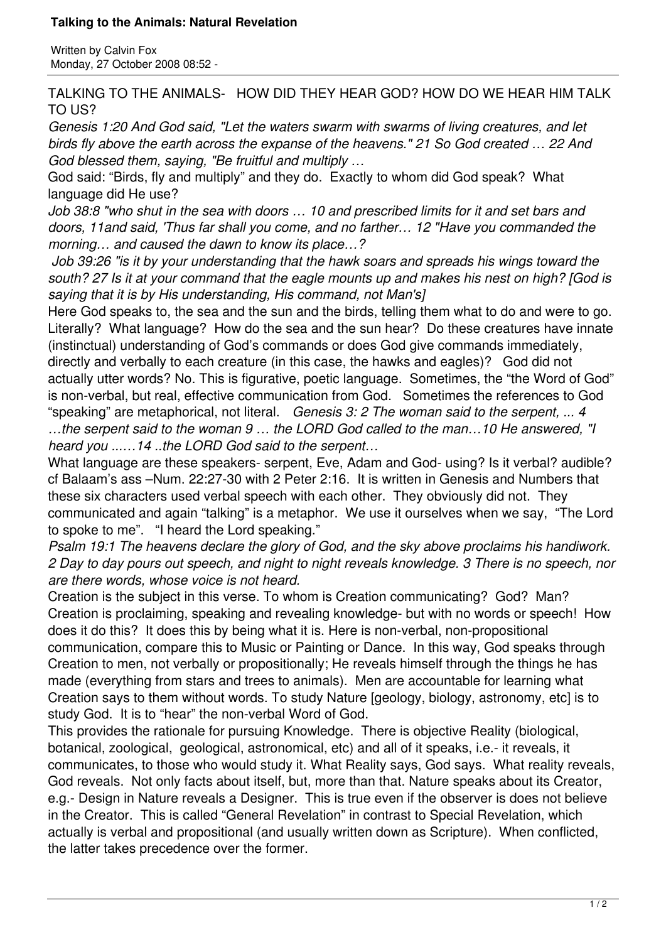## **Talking to the Animals: Natural Revelation**

Written by Calvin Fox Monday, 27 October 2008 08:52 -

TALKING TO THE ANIMALS- HOW DID THEY HEAR GOD? HOW DO WE HEAR HIM TALK TO US?

*Genesis 1:20 And God said, "Let the waters swarm with swarms of living creatures, and let birds fly above the earth across the expanse of the heavens." 21 So God created … 22 And God blessed them, saying, "Be fruitful and multiply …*

God said: "Birds, fly and multiply" and they do. Exactly to whom did God speak? What language did He use?

*Job 38:8 "who shut in the sea with doors … 10 and prescribed limits for it and set bars and doors, 11and said, 'Thus far shall you come, and no farther… 12 "Have you commanded the morning… and caused the dawn to know its place…?*

*Job 39:26 "is it by your understanding that the hawk soars and spreads his wings toward the south? 27 Is it at your command that the eagle mounts up and makes his nest on high? [God is saying that it is by His understanding, His command, not Man's]* 

Here God speaks to, the sea and the sun and the birds, telling them what to do and were to go. Literally? What language? How do the sea and the sun hear? Do these creatures have innate (instinctual) understanding of God's commands or does God give commands immediately, directly and verbally to each creature (in this case, the hawks and eagles)? God did not actually utter words? No. This is figurative, poetic language. Sometimes, the "the Word of God" is non-verbal, but real, effective communication from God. Sometimes the references to God "speaking" are metaphorical, not literal. *Genesis 3: 2 The woman said to the serpent, ... 4*

*…the serpent said to the woman 9 … the LORD God called to the man…10 He answered, "I heard you ...…14 ..the LORD God said to the serpent…*

What language are these speakers- serpent, Eve, Adam and God- using? Is it verbal? audible? cf Balaam's ass –Num. 22:27-30 with 2 Peter 2:16. It is written in Genesis and Numbers that these six characters used verbal speech with each other. They obviously did not. They communicated and again "talking" is a metaphor. We use it ourselves when we say, "The Lord to spoke to me". "I heard the Lord speaking."

*Psalm 19:1 The heavens declare the glory of God, and the sky above proclaims his handiwork. 2 Day to day pours out speech, and night to night reveals knowledge. 3 There is no speech, nor are there words, whose voice is not heard.*

Creation is the subject in this verse. To whom is Creation communicating? God? Man? Creation is proclaiming, speaking and revealing knowledge- but with no words or speech! How does it do this? It does this by being what it is. Here is non-verbal, non-propositional communication, compare this to Music or Painting or Dance. In this way, God speaks through Creation to men, not verbally or propositionally; He reveals himself through the things he has made (everything from stars and trees to animals). Men are accountable for learning what Creation says to them without words. To study Nature [geology, biology, astronomy, etc] is to study God. It is to "hear" the non-verbal Word of God.

This provides the rationale for pursuing Knowledge. There is objective Reality (biological, botanical, zoological, geological, astronomical, etc) and all of it speaks, i.e.- it reveals, it communicates, to those who would study it. What Reality says, God says. What reality reveals, God reveals. Not only facts about itself, but, more than that. Nature speaks about its Creator, e.g.- Design in Nature reveals a Designer. This is true even if the observer is does not believe in the Creator. This is called "General Revelation" in contrast to Special Revelation, which actually is verbal and propositional (and usually written down as Scripture). When conflicted, the latter takes precedence over the former.